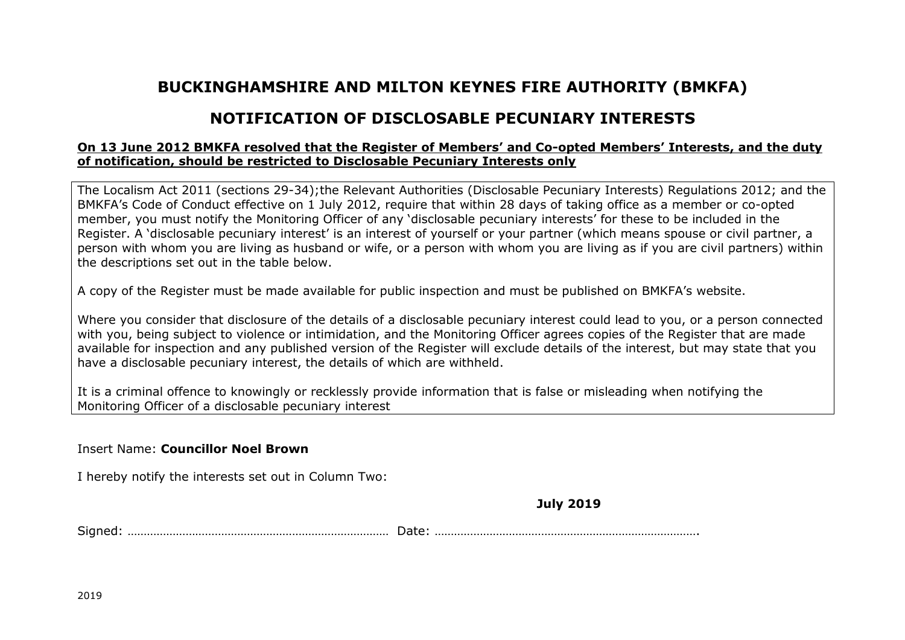## **BUCKINGHAMSHIRE AND MILTON KEYNES FIRE AUTHORITY (BMKFA)**

## **NOTIFICATION OF DISCLOSABLE PECUNIARY INTERESTS**

## **On 13 June 2012 BMKFA resolved that the Register of Members' and Co-opted Members' Interests, and the duty of notification, should be restricted to Disclosable Pecuniary Interests only**

The Localism Act 2011 (sections 29-34);the Relevant Authorities (Disclosable Pecuniary Interests) Regulations 2012; and the BMKFA's Code of Conduct effective on 1 July 2012, require that within 28 days of taking office as a member or co-opted member, you must notify the Monitoring Officer of any 'disclosable pecuniary interests' for these to be included in the Register. A 'disclosable pecuniary interest' is an interest of yourself or your partner (which means spouse or civil partner, a person with whom you are living as husband or wife, or a person with whom you are living as if you are civil partners) within the descriptions set out in the table below.

A copy of the Register must be made available for public inspection and must be published on BMKFA's website.

Where you consider that disclosure of the details of a disclosable pecuniary interest could lead to you, or a person connected with you, being subject to violence or intimidation, and the Monitoring Officer agrees copies of the Register that are made available for inspection and any published version of the Register will exclude details of the interest, but may state that you have a disclosable pecuniary interest, the details of which are withheld.

It is a criminal offence to knowingly or recklessly provide information that is false or misleading when notifying the Monitoring Officer of a disclosable pecuniary interest

## Insert Name: **Councillor Noel Brown**

I hereby notify the interests set out in Column Two:

**July 2019**

Signed: ……………………………………………………………………… Date: ……………………………………………………………………….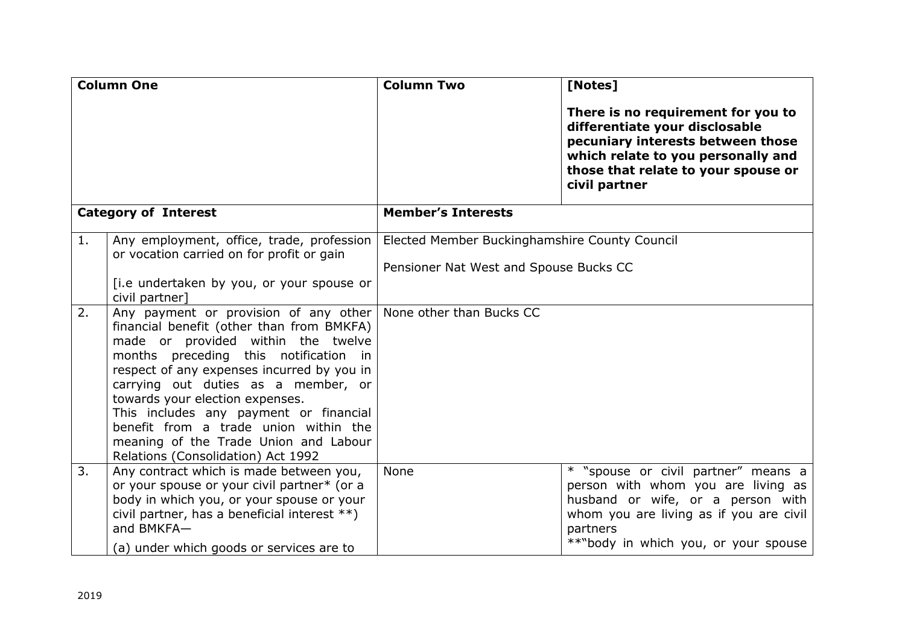| <b>Column One</b>           |                                                                                                                                                                                                                                                                                                                                                                                                                                                                                                                                       | <b>Column Two</b>                                                                                                   | [Notes]                                                                                                                                                                                                       |
|-----------------------------|---------------------------------------------------------------------------------------------------------------------------------------------------------------------------------------------------------------------------------------------------------------------------------------------------------------------------------------------------------------------------------------------------------------------------------------------------------------------------------------------------------------------------------------|---------------------------------------------------------------------------------------------------------------------|---------------------------------------------------------------------------------------------------------------------------------------------------------------------------------------------------------------|
|                             |                                                                                                                                                                                                                                                                                                                                                                                                                                                                                                                                       |                                                                                                                     | There is no requirement for you to<br>differentiate your disclosable<br>pecuniary interests between those<br>which relate to you personally and<br>those that relate to your spouse or<br>civil partner       |
| <b>Category of Interest</b> |                                                                                                                                                                                                                                                                                                                                                                                                                                                                                                                                       | <b>Member's Interests</b>                                                                                           |                                                                                                                                                                                                               |
| 1.<br>2.                    | Any employment, office, trade, profession<br>or vocation carried on for profit or gain<br>[i.e undertaken by you, or your spouse or<br>civil partner]<br>Any payment or provision of any other<br>financial benefit (other than from BMKFA)<br>made or provided within the twelve<br>months preceding this notification in<br>respect of any expenses incurred by you in<br>carrying out duties as a member, or<br>towards your election expenses.<br>This includes any payment or financial<br>benefit from a trade union within the | Elected Member Buckinghamshire County Council<br>Pensioner Nat West and Spouse Bucks CC<br>None other than Bucks CC |                                                                                                                                                                                                               |
|                             | meaning of the Trade Union and Labour<br>Relations (Consolidation) Act 1992                                                                                                                                                                                                                                                                                                                                                                                                                                                           |                                                                                                                     |                                                                                                                                                                                                               |
| 3.                          | Any contract which is made between you,<br>or your spouse or your civil partner* (or a<br>body in which you, or your spouse or your<br>civil partner, has a beneficial interest **)<br>and BMKFA-<br>(a) under which goods or services are to                                                                                                                                                                                                                                                                                         | None                                                                                                                | * "spouse or civil partner" means a<br>person with whom you are living as<br>husband or wife, or a person with<br>whom you are living as if you are civil<br>partners<br>**"body in which you, or your spouse |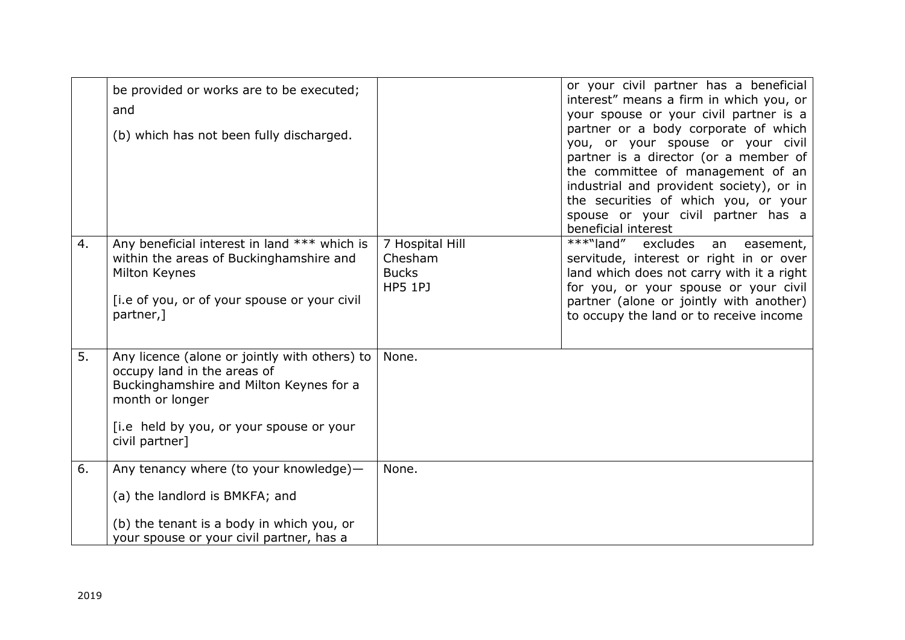|    | be provided or works are to be executed;<br>and<br>(b) which has not been fully discharged.                                                                                                              |                                                              | or your civil partner has a beneficial<br>interest" means a firm in which you, or<br>your spouse or your civil partner is a<br>partner or a body corporate of which<br>you, or your spouse or your civil<br>partner is a director (or a member of<br>the committee of management of an<br>industrial and provident society), or in<br>the securities of which you, or your<br>spouse or your civil partner has a<br>beneficial interest |
|----|----------------------------------------------------------------------------------------------------------------------------------------------------------------------------------------------------------|--------------------------------------------------------------|-----------------------------------------------------------------------------------------------------------------------------------------------------------------------------------------------------------------------------------------------------------------------------------------------------------------------------------------------------------------------------------------------------------------------------------------|
| 4. | Any beneficial interest in land *** which is<br>within the areas of Buckinghamshire and<br>Milton Keynes<br>[i.e of you, or of your spouse or your civil<br>partner,]                                    | 7 Hospital Hill<br>Chesham<br><b>Bucks</b><br><b>HP5 1PJ</b> | ***"land"<br>excludes<br>easement,<br>an<br>servitude, interest or right in or over<br>land which does not carry with it a right<br>for you, or your spouse or your civil<br>partner (alone or jointly with another)<br>to occupy the land or to receive income                                                                                                                                                                         |
| 5. | Any licence (alone or jointly with others) to<br>occupy land in the areas of<br>Buckinghamshire and Milton Keynes for a<br>month or longer<br>[i.e held by you, or your spouse or your<br>civil partner] | None.                                                        |                                                                                                                                                                                                                                                                                                                                                                                                                                         |
| 6. | Any tenancy where (to your knowledge)-<br>(a) the landlord is BMKFA; and<br>(b) the tenant is a body in which you, or<br>your spouse or your civil partner, has a                                        | None.                                                        |                                                                                                                                                                                                                                                                                                                                                                                                                                         |